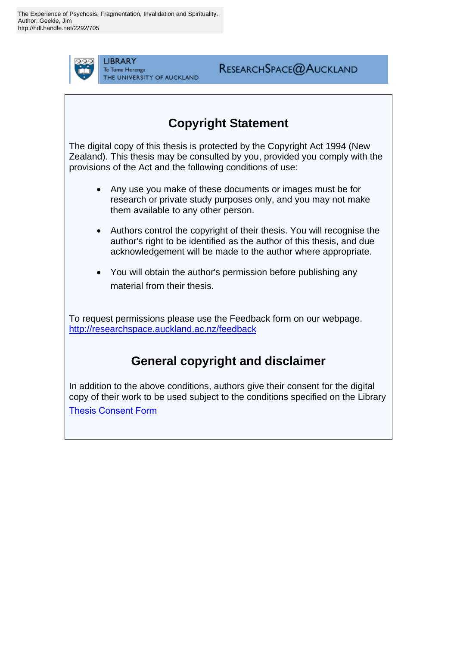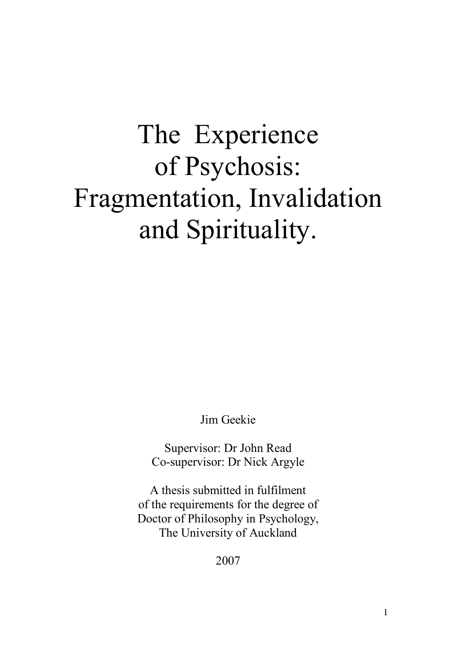# The Experience of Psychosis: Fragmentation, Invalidation and Spirituality.

Jim Geekie

Supervisor: Dr John Read Co-supervisor: Dr Nick Argyle

A thesis submitted in fulfilment of the requirements for the degree of Doctor of Philosophy in Psychology, The University of Auckland

2007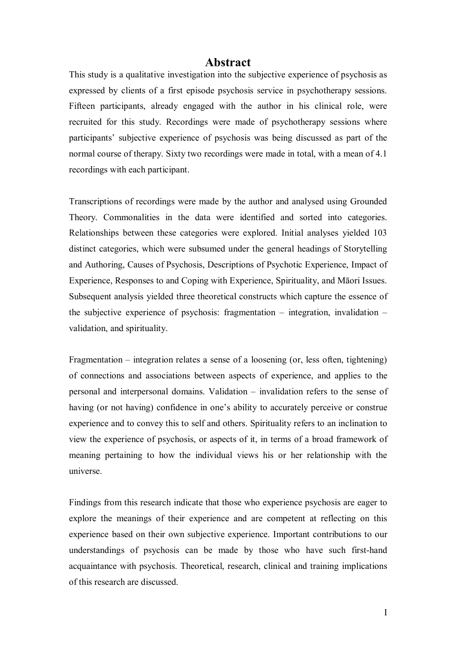#### **Abstract**

This study is a qualitative investigation into the subjective experience of psychosis as expressed by clients of a first episode psychosis service in psychotherapy sessions. Fifteen participants, already engaged with the author in his clinical role, were recruited for this study. Recordings were made of psychotherapy sessions where participants' subjective experience of psychosis was being discussed as part of the normal course of therapy. Sixty two recordings were made in total, with a mean of 4.1 recordings with each participant.

Transcriptions of recordings were made by the author and analysed using Grounded Theory. Commonalities in the data were identified and sorted into categories. Relationships between these categories were explored. Initial analyses yielded 103 distinct categories, which were subsumed under the general headings of Storytelling and Authoring, Causes of Psychosis, Descriptions of Psychotic Experience, Impact of Experience, Responses to and Coping with Experience, Spirituality, and Māori Issues. Subsequent analysis yielded three theoretical constructs which capture the essence of the subjective experience of psychosis: fragmentation  $-$  integration, invalidation  $$ validation, and spirituality.

Fragmentation  $-$  integration relates a sense of a loosening (or, less often, tightening) of connections and associations between aspects of experience, and applies to the personal and interpersonal domains. Validation  $-$  invalidation refers to the sense of having (or not having) confidence in one's ability to accurately perceive or construe experience and to convey this to self and others. Spirituality refers to an inclination to view the experience of psychosis, or aspects of it, in terms of a broad framework of meaning pertaining to how the individual views his or her relationship with the universe.

Findings from this research indicate that those who experience psychosis are eager to explore the meanings of their experience and are competent at reflecting on this experience based on their own subjective experience. Important contributions to our understandings of psychosis can be made by those who have such first-hand acquaintance with psychosis. Theoretical, research, clinical and training implications of this research are discussed.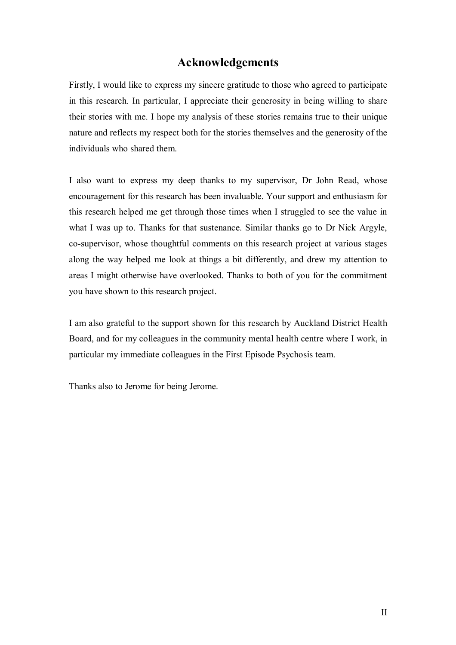#### **Acknowledgements**

Firstly, I would like to express my sincere gratitude to those who agreed to participate in this research. In particular, I appreciate their generosity in being willing to share their stories with me. I hope my analysis of these stories remains true to their unique nature and reflects my respect both for the stories themselves and the generosity of the individuals who shared them.

I also want to express my deep thanks to my supervisor, Dr John Read, whose encouragement for this research has been invaluable. Your support and enthusiasm for this research helped me get through those times when I struggled to see the value in what I was up to. Thanks for that sustenance. Similar thanks go to Dr Nick Argyle, co-supervisor, whose thoughtful comments on this research project at various stages along the way helped me look at things a bit differently, and drew my attention to areas I might otherwise have overlooked. Thanks to both of you for the commitment you have shown to this research project.

I am also grateful to the support shown for this research by Auckland District Health Board, and for my colleagues in the community mental health centre where I work, in particular my immediate colleagues in the First Episode Psychosis team.

Thanks also to Jerome for being Jerome.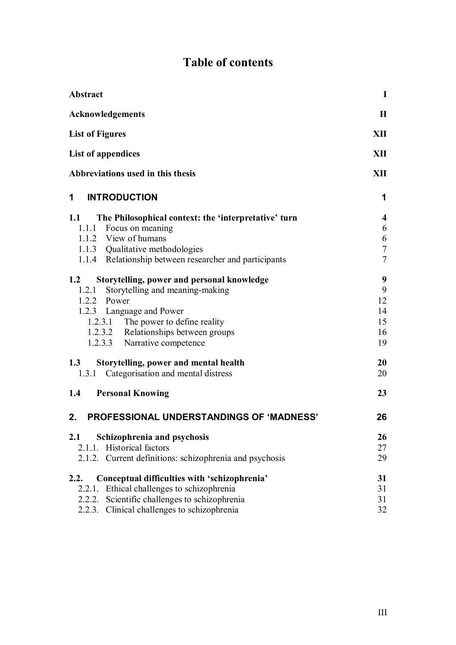|  | <b>Table of contents</b> |
|--|--------------------------|
|  |                          |

| <b>Abstract</b>                                             | $\mathbf I$             |
|-------------------------------------------------------------|-------------------------|
| Acknowledgements                                            | $\mathbf{I}$            |
| <b>List of Figures</b>                                      |                         |
| List of appendices                                          | XII                     |
| Abbreviations used in this thesis                           | XII                     |
| <b>INTRODUCTION</b><br>$1 \quad$                            | 1                       |
| The Philosophical context: the 'interpretative' turn<br>1.1 | $\overline{\mathbf{4}}$ |
| 1.1.1 Focus on meaning                                      | 6                       |
| 1.1.2 View of humans                                        | 6                       |
| 1.1.3 Qualitative methodologies                             | $\tau$                  |
| 1.1.4 Relationship between researcher and participants      | $\tau$                  |
| 1.2<br>Storytelling, power and personal knowledge           | 9                       |
| Storytelling and meaning-making<br>1.2.1                    | 9                       |
| 1.2.2 Power                                                 | 12                      |
| 1.2.3 Language and Power                                    | 14                      |
| 1.2.3.1 The power to define reality                         | 15                      |
| 1.2.3.2 Relationships between groups                        | 16                      |
| 1.2.3.3 Narrative competence                                | 19                      |
| Storytelling, power and mental health<br>1.3                | 20                      |
| 1.3.1 Categorisation and mental distress                    | 20                      |
| <b>Personal Knowing</b><br>1.4                              | 23                      |
| 2.<br><b>PROFESSIONAL UNDERSTANDINGS OF 'MADNESS'</b>       | 26                      |
| Schizophrenia and psychosis<br>2.1                          | 26                      |
| Historical factors<br>2.1.1.                                | 27                      |
| 2.1.2. Current definitions: schizophrenia and psychosis     | 29                      |
| Conceptual difficulties with 'schizophrenia'<br>2.2.        | 31                      |
| Ethical challenges to schizophrenia<br>2.2.1.               | 31                      |
| Scientific challenges to schizophrenia<br>2.2.2.            | 31                      |
| 2.2.3. Clinical challenges to schizophrenia                 | 32                      |
|                                                             |                         |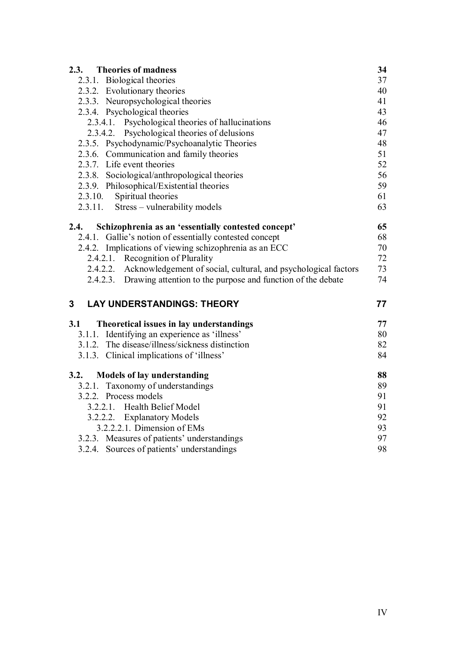| <b>Theories of madness</b><br>2.3.                                      | 34 |
|-------------------------------------------------------------------------|----|
| 2.3.1. Biological theories                                              | 37 |
| 2.3.2. Evolutionary theories                                            | 40 |
| 2.3.3. Neuropsychological theories                                      | 41 |
| 2.3.4. Psychological theories                                           | 43 |
| 2.3.4.1. Psychological theories of hallucinations                       | 46 |
| 2.3.4.2. Psychological theories of delusions                            | 47 |
| 2.3.5. Psychodynamic/Psychoanalytic Theories                            | 48 |
| 2.3.6. Communication and family theories                                | 51 |
| 2.3.7. Life event theories                                              | 52 |
| 2.3.8. Sociological/anthropological theories                            | 56 |
| 2.3.9. Philosophical/Existential theories                               | 59 |
| 2.3.10. Spiritual theories                                              | 61 |
| 2.3.11. Stress – vulnerability models                                   | 63 |
| Schizophrenia as an 'essentially contested concept'<br>2.4.             | 65 |
| 2.4.1. Gallie's notion of essentially contested concept                 | 68 |
| 2.4.2. Implications of viewing schizophrenia as an ECC                  | 70 |
| 2.4.2.1. Recognition of Plurality                                       | 72 |
| 2.4.2.2. Acknowledgement of social, cultural, and psychological factors | 73 |
| 2.4.2.3. Drawing attention to the purpose and function of the debate    | 74 |
| <b>LAY UNDERSTANDINGS: THEORY</b><br>3                                  | 77 |
| 3.1<br>Theoretical issues in lay understandings                         | 77 |
| 3.1.1. Identifying an experience as 'illness'                           | 80 |
| 3.1.2. The disease/illness/sickness distinction                         | 82 |
| 3.1.3. Clinical implications of 'illness'                               | 84 |
| 3.2.<br><b>Models of lay understanding</b>                              | 88 |
| 3.2.1. Taxonomy of understandings                                       | 89 |
| 3.2.2. Process models                                                   | 91 |
| 3.2.2.1. Health Belief Model                                            | 91 |
| 3.2.2.2. Explanatory Models                                             | 92 |
| 3.2.2.2.1. Dimension of EMs                                             | 93 |
| 3.2.3. Measures of patients' understandings                             | 97 |
| 3.2.4. Sources of patients' understandings                              | 98 |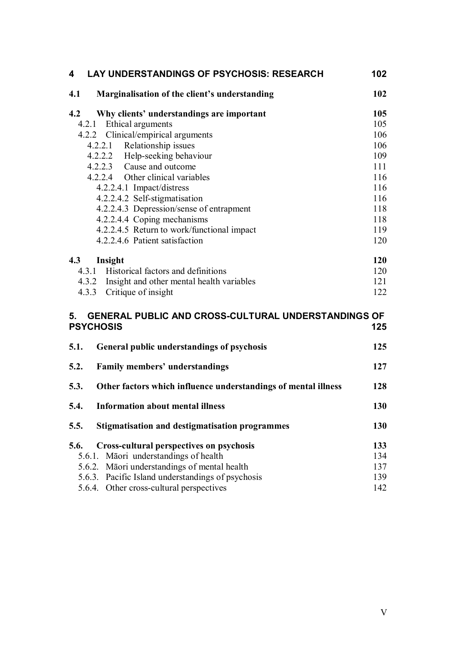| LAY UNDERSTANDINGS OF PSYCHOSIS: RESEARCH<br>4                                                                                                                                                                                                    | 102                             |  |
|---------------------------------------------------------------------------------------------------------------------------------------------------------------------------------------------------------------------------------------------------|---------------------------------|--|
| 4.1<br>Marginalisation of the client's understanding                                                                                                                                                                                              | 102                             |  |
| 4.2<br>Why clients' understandings are important                                                                                                                                                                                                  | 105                             |  |
| 4.2.1 Ethical arguments                                                                                                                                                                                                                           | 105                             |  |
| 4.2.2 Clinical/empirical arguments                                                                                                                                                                                                                | 106                             |  |
| 4.2.2.1 Relationship issues                                                                                                                                                                                                                       | 106                             |  |
| 4.2.2.2 Help-seeking behaviour                                                                                                                                                                                                                    | 109                             |  |
| 4.2.2.3 Cause and outcome                                                                                                                                                                                                                         | 111                             |  |
| 4.2.2.4 Other clinical variables                                                                                                                                                                                                                  | 116                             |  |
| 4.2.2.4.1 Impact/distress                                                                                                                                                                                                                         | 116                             |  |
| 4.2.2.4.2 Self-stigmatisation                                                                                                                                                                                                                     | 116                             |  |
| 4.2.2.4.3 Depression/sense of entrapment                                                                                                                                                                                                          | 118                             |  |
| 4.2.2.4.4 Coping mechanisms                                                                                                                                                                                                                       | 118<br>119                      |  |
| 4.2.2.4.5 Return to work/functional impact<br>4.2.2.4.6 Patient satisfaction                                                                                                                                                                      | 120                             |  |
|                                                                                                                                                                                                                                                   |                                 |  |
| 4.3<br>Insight                                                                                                                                                                                                                                    | 120                             |  |
| 4.3.1 Historical factors and definitions                                                                                                                                                                                                          |                                 |  |
| 4.3.2 Insight and other mental health variables                                                                                                                                                                                                   | 121                             |  |
| 4.3.3 Critique of insight                                                                                                                                                                                                                         | 122                             |  |
| GENERAL PUBLIC AND CROSS-CULTURAL UNDERSTANDINGS OF<br>5.<br><b>PSYCHOSIS</b><br>125                                                                                                                                                              |                                 |  |
| 5.1.<br>General public understandings of psychosis                                                                                                                                                                                                | 125                             |  |
| 5.2.<br><b>Family members' understandings</b>                                                                                                                                                                                                     | 127                             |  |
| 5.3.<br>Other factors which influence understandings of mental illness                                                                                                                                                                            | 128                             |  |
| <b>Information about mental illness</b><br>5.4.                                                                                                                                                                                                   | 130                             |  |
| <b>Stigmatisation and destigmatisation programmes</b><br>5.5.                                                                                                                                                                                     | 130                             |  |
| 5.6.<br><b>Cross-cultural perspectives on psychosis</b><br>5.6.1. Māori understandings of health<br>5.6.2. Māori understandings of mental health<br>5.6.3. Pacific Island understandings of psychosis<br>5.6.4. Other cross-cultural perspectives | 133<br>134<br>137<br>139<br>142 |  |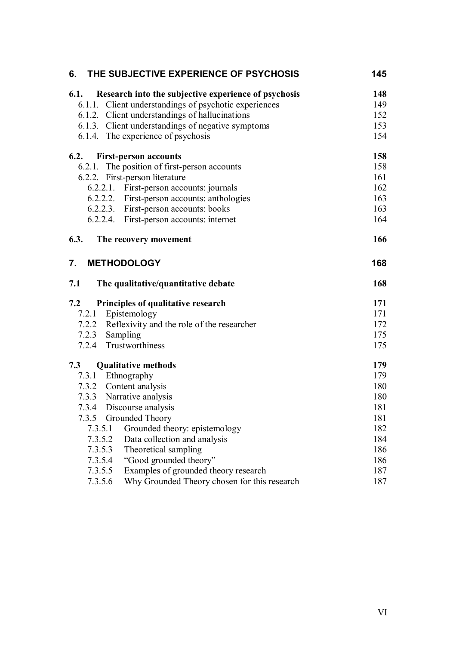| 6.                                | THE SUBJECTIVE EXPERIENCE OF PSYCHOSIS                                                                                                                          | 145               |
|-----------------------------------|-----------------------------------------------------------------------------------------------------------------------------------------------------------------|-------------------|
| 6.1.                              | Research into the subjective experience of psychosis<br>6.1.1. Client understandings of psychotic experiences<br>6.1.2. Client understandings of hallucinations | 148<br>149<br>152 |
|                                   | 6.1.3. Client understandings of negative symptoms                                                                                                               | 153               |
|                                   | 6.1.4. The experience of psychosis                                                                                                                              | 154               |
| 6.2.                              | <b>First-person accounts</b>                                                                                                                                    | 158               |
|                                   | 6.2.1. The position of first-person accounts                                                                                                                    | 158               |
| 6.2.2. First-person literature    |                                                                                                                                                                 | 161               |
|                                   | 6.2.2.1. First-person accounts: journals                                                                                                                        | 162               |
|                                   | 6.2.2.2. First-person accounts: anthologies                                                                                                                     | 163               |
|                                   | 6.2.2.3. First-person accounts: books                                                                                                                           | 163               |
|                                   | 6.2.2.4. First-person accounts: internet                                                                                                                        | 164               |
| 6.3.                              | The recovery movement                                                                                                                                           | 166               |
| 7.<br><b>METHODOLOGY</b>          |                                                                                                                                                                 | 168               |
| 7.1                               | The qualitative/quantitative debate                                                                                                                             | 168               |
| 7.2                               | Principles of qualitative research                                                                                                                              | 171               |
| Epistemology<br>7.2.1             |                                                                                                                                                                 | 171               |
|                                   | 7.2.2 Reflexivity and the role of the researcher                                                                                                                | 172               |
| 7.2.3 Sampling                    |                                                                                                                                                                 | 175               |
| 7.2.4 Trustworthiness             |                                                                                                                                                                 | 175               |
| <b>Qualitative methods</b><br>7.3 |                                                                                                                                                                 | 179               |
| 7.3.1 Ethnography                 |                                                                                                                                                                 | 179               |
| 7.3.2 Content analysis            |                                                                                                                                                                 | 180               |
| 7.3.3 Narrative analysis          |                                                                                                                                                                 | 180               |
| 7.3.4                             | Discourse analysis                                                                                                                                              | 181               |
| 7.3.5                             | Grounded Theory                                                                                                                                                 | 181               |
| 7.3.5.1                           | Grounded theory: epistemology                                                                                                                                   | 182               |
| 7.3.5.2                           | Data collection and analysis                                                                                                                                    | 184               |
| 7.3.5.3                           | Theoretical sampling                                                                                                                                            | 186               |
| 7.3.5.4                           | "Good grounded theory"                                                                                                                                          | 186               |
| 7.3.5.5                           | Examples of grounded theory research                                                                                                                            | 187               |
| 7.3.5.6                           | Why Grounded Theory chosen for this research                                                                                                                    | 187               |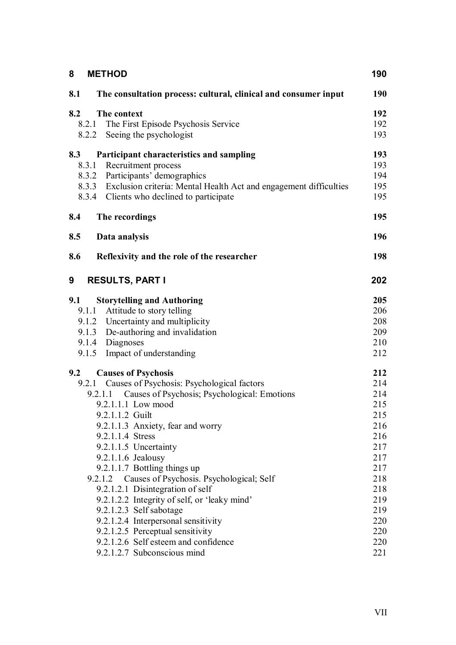| 8<br><b>METHOD</b>                                                                                                                                                                                                                                                                                                                                                                                                                                                                                                                                                                                                                                          | 190                                                                                                                        |
|-------------------------------------------------------------------------------------------------------------------------------------------------------------------------------------------------------------------------------------------------------------------------------------------------------------------------------------------------------------------------------------------------------------------------------------------------------------------------------------------------------------------------------------------------------------------------------------------------------------------------------------------------------------|----------------------------------------------------------------------------------------------------------------------------|
| 8.1<br>The consultation process: cultural, clinical and consumer input                                                                                                                                                                                                                                                                                                                                                                                                                                                                                                                                                                                      | <b>190</b>                                                                                                                 |
| 8.2<br>The context<br>The First Episode Psychosis Service<br>8.2.1<br>Seeing the psychologist<br>8.2.2                                                                                                                                                                                                                                                                                                                                                                                                                                                                                                                                                      | 192<br>192<br>193                                                                                                          |
| 8.3<br>Participant characteristics and sampling<br>Recruitment process<br>8.3.1<br>8.3.2 Participants' demographics<br>8.3.3 Exclusion criteria: Mental Health Act and engagement difficulties<br>8.3.4 Clients who declined to participate                                                                                                                                                                                                                                                                                                                                                                                                                 | 193<br>193<br>194<br>195<br>195                                                                                            |
| 8.4<br>The recordings                                                                                                                                                                                                                                                                                                                                                                                                                                                                                                                                                                                                                                       | 195                                                                                                                        |
| 8.5<br>Data analysis                                                                                                                                                                                                                                                                                                                                                                                                                                                                                                                                                                                                                                        | 196                                                                                                                        |
| 8.6<br>Reflexivity and the role of the researcher                                                                                                                                                                                                                                                                                                                                                                                                                                                                                                                                                                                                           | 198                                                                                                                        |
| 9<br><b>RESULTS, PART I</b>                                                                                                                                                                                                                                                                                                                                                                                                                                                                                                                                                                                                                                 | 202                                                                                                                        |
| 9.1<br><b>Storytelling and Authoring</b><br>9.1.1 Attitude to story telling<br>9.1.2 Uncertainty and multiplicity<br>9.1.3 De-authoring and invalidation<br>Diagnoses<br>9.1.4<br>Impact of understanding<br>9.1.5                                                                                                                                                                                                                                                                                                                                                                                                                                          | 205<br>206<br>208<br>209<br>210<br>212                                                                                     |
| 9.2<br><b>Causes of Psychosis</b><br>Causes of Psychosis: Psychological factors<br>9.2.1<br>Causes of Psychosis; Psychological: Emotions<br>9.2.1.1<br>9.2.1.1.1 Low mood<br>9.2.1.1.2 Guilt<br>9.2.1.1.3 Anxiety, fear and worry<br>9.2.1.1.4 Stress<br>9.2.1.1.5 Uncertainty<br>$9.2.1.1.6$ Jealousy<br>9.2.1.1.7 Bottling things up<br>9.2.1.2 Causes of Psychosis. Psychological; Self<br>9.2.1.2.1 Disintegration of self<br>9.2.1.2.2 Integrity of self, or 'leaky mind'<br>9.2.1.2.3 Self sabotage<br>9.2.1.2.4 Interpersonal sensitivity<br>9.2.1.2.5 Perceptual sensitivity<br>9.2.1.2.6 Self esteem and confidence<br>9.2.1.2.7 Subconscious mind | 212<br>214<br>214<br>215<br>215<br>216<br>216<br>217<br>217<br>217<br>218<br>218<br>219<br>219<br>220<br>220<br>220<br>221 |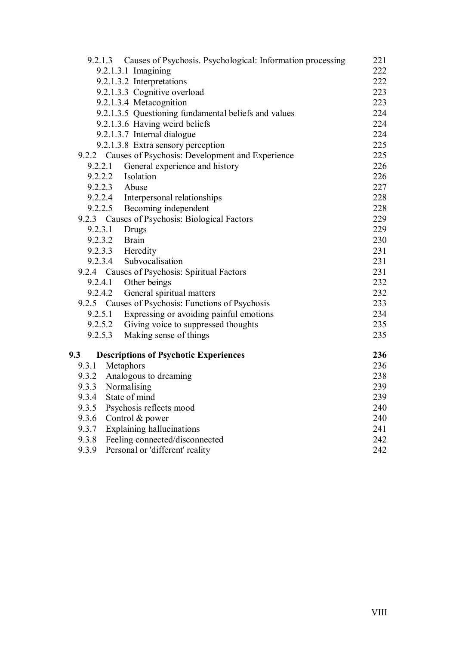|         | 9.2.1.3 Causes of Psychosis. Psychological: Information processing                   | 221 |
|---------|--------------------------------------------------------------------------------------|-----|
|         | 9.2.1.3.1 Imagining                                                                  | 222 |
|         | 9.2.1.3.2 Interpretations                                                            | 222 |
|         | 9.2.1.3.3 Cognitive overload                                                         | 223 |
|         | 9.2.1.3.4 Metacognition                                                              | 223 |
|         | 9.2.1.3.5 Questioning fundamental beliefs and values                                 | 224 |
|         | 9.2.1.3.6 Having weird beliefs                                                       | 224 |
|         | 9.2.1.3.7 Internal dialogue                                                          | 224 |
|         | 9.2.1.3.8 Extra sensory perception                                                   | 225 |
|         | 9.2.2 Causes of Psychosis: Development and Experience                                | 225 |
| 9.2.2.1 | General experience and history                                                       | 226 |
|         | 9.2.2.2<br>Isolation                                                                 | 226 |
|         | 9.2.2.3 Abuse<br>9.2.2.4 Interpersonal relationships<br>9.2.2.5 Becoming independent | 227 |
|         |                                                                                      | 228 |
|         |                                                                                      | 228 |
|         | 9.2.3 Causes of Psychosis: Biological Factors                                        | 229 |
| 9.2.3.1 | Drugs                                                                                | 229 |
|         | 9.2.3.2 Brain                                                                        | 230 |
|         | 9.2.3.3 Heredity                                                                     | 231 |
|         | 9.2.3.4<br>Subvocalisation                                                           | 231 |
|         | 9.2.4 Causes of Psychosis: Spiritual Factors                                         | 231 |
|         | 9.2.4.1 Other beings                                                                 | 232 |
|         | 9.2.4.2<br>General spiritual matters                                                 | 232 |
|         | 9.2.5 Causes of Psychosis: Functions of Psychosis                                    | 233 |
|         | 9.2.5.1<br>Expressing or avoiding painful emotions                                   | 234 |
|         | 9.2.5.2 Giving voice to suppressed thoughts                                          | 235 |
| 9.2.5.3 | Making sense of things                                                               | 235 |
| 9.3     | <b>Descriptions of Psychotic Experiences</b>                                         | 236 |
| 9.3.1   | Metaphors                                                                            | 236 |
|         | 9.3.2 Analogous to dreaming                                                          | 238 |
| 9.3.3   | Normalising                                                                          | 239 |
| 9.3.4   | State of mind                                                                        | 239 |
| 9.3.5   | Psychosis reflects mood                                                              | 240 |
| 9.3.6   | Control & power                                                                      | 240 |
| 9.3.7   | Explaining hallucinations                                                            | 241 |
| 9.3.8   | Feeling connected/disconnected                                                       | 242 |
| 9.3.9   | Personal or 'different' reality                                                      | 242 |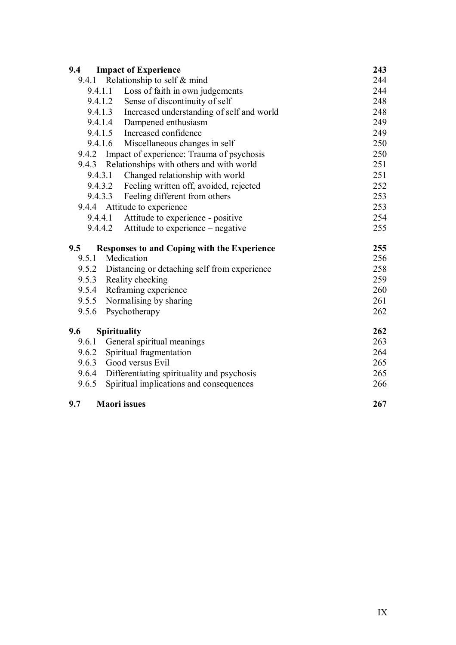| 9.4     | <b>Impact of Experience</b>                        | 243 |
|---------|----------------------------------------------------|-----|
|         | 9.4.1 Relationship to self $&$ mind                | 244 |
|         | 9.4.1.1 Loss of faith in own judgements            | 244 |
|         | 9.4.1.2 Sense of discontinuity of self             | 248 |
|         | 9.4.1.3 Increased understanding of self and world  | 248 |
|         | 9.4.1.4 Dampened enthusiasm                        | 249 |
|         | 9.4.1.5 Increased confidence                       | 249 |
|         | 9.4.1.6 Miscellaneous changes in self              | 250 |
|         | 9.4.2 Impact of experience: Trauma of psychosis    | 250 |
|         | 9.4.3 Relationships with others and with world     | 251 |
| 9.4.3.1 | Changed relationship with world                    | 251 |
|         | 9.4.3.2 Feeling written off, avoided, rejected     | 252 |
|         | 9.4.3.3 Feeling different from others              | 253 |
| 9.4.4   | Attitude to experience                             | 253 |
|         | 9.4.4.1 Attitude to experience - positive          | 254 |
|         | 9.4.4.2 Attitude to experience – negative          | 255 |
| 9.5     | <b>Responses to and Coping with the Experience</b> | 255 |
| 9.5.1   | Medication                                         | 256 |
|         | 9.5.2 Distancing or detaching self from experience | 258 |
|         | 9.5.3 Reality checking                             | 259 |
| 9.5.4   | Reframing experience                               | 260 |
| 9.5.5   | Normalising by sharing                             | 261 |
| 9.5.6   | Psychotherapy                                      | 262 |
| 9.6     | <b>Spirituality</b>                                | 262 |
| 9.6.1   | General spiritual meanings                         | 263 |
|         | 9.6.2 Spiritual fragmentation                      | 264 |
| 9.6.3   | Good versus Evil                                   | 265 |
|         | 9.6.4 Differentiating spirituality and psychosis   | 265 |
| 9.6.5   | Spiritual implications and consequences            | 266 |
| 9.7     | <b>Maori</b> issues                                | 267 |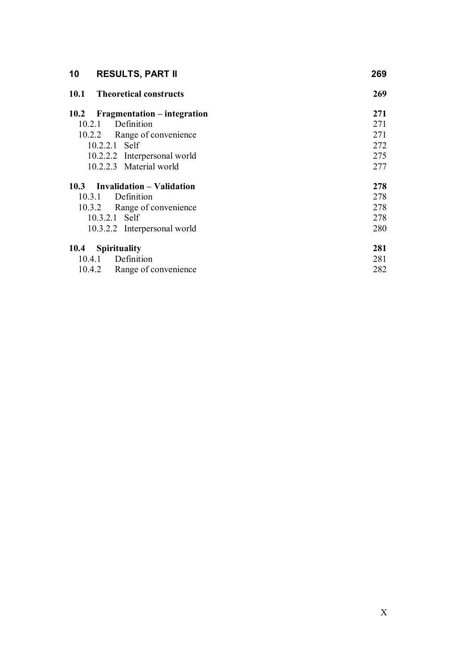| 10<br><b>RESULTS, PART II</b>              | 269 |
|--------------------------------------------|-----|
| 10.1<br><b>Theoretical constructs</b>      | 269 |
| Fragmentation – integration<br><b>10.2</b> | 271 |
| Definition<br>10.2.1                       | 271 |
| 10.2.2 Range of convenience                | 271 |
| $10.2.2.1$ Self                            | 272 |
| 10.2.2.2 Interpersonal world               | 275 |
| 10.2.2.3 Material world                    | 277 |
| 10.3 Invalidation – Validation             | 278 |
| Definition<br>10.3.1                       | 278 |
| 10.3.2 Range of convenience                | 278 |
| 10.3.2.1 Self                              | 278 |
| 10.3.2.2 Interpersonal world               | 280 |
| <b>Spirituality</b><br><b>10.4</b>         | 281 |
| Definition<br>10.4.1                       | 281 |
| Range of convenience<br>10.4.2             | 282 |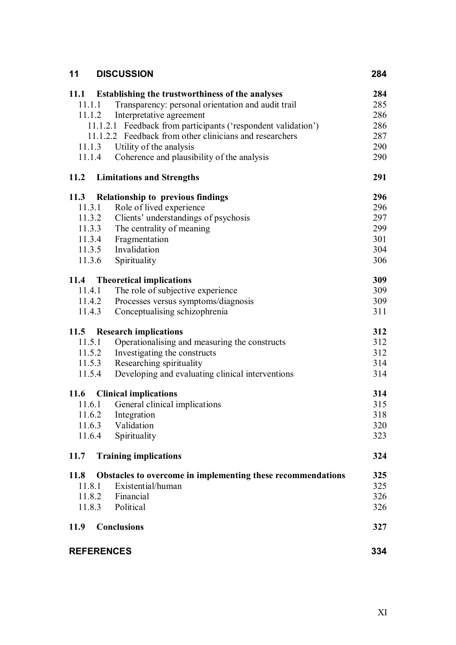| 11                | <b>DISCUSSION</b>                                             | 284 |
|-------------------|---------------------------------------------------------------|-----|
| 11.1              | Establishing the trustworthiness of the analyses              | 284 |
| 11.1.1            | Transparency: personal orientation and audit trail            | 285 |
|                   | Interpretative agreement<br>11.1.2                            | 286 |
|                   | 11.1.2.1 Feedback from participants ('respondent validation') | 286 |
|                   | 11.1.2.2 Feedback from other clinicians and researchers       | 287 |
| 11.1.3            | Utility of the analysis                                       | 290 |
|                   | Coherence and plausibility of the analysis<br>11.1.4          | 290 |
| <b>11.2</b>       | <b>Limitations and Strengths</b>                              | 291 |
|                   | 11.3 Relationship to previous findings                        | 296 |
|                   | Role of lived experience<br>11.3.1                            | 296 |
|                   | Clients' understandings of psychosis<br>11.3.2                | 297 |
|                   | 11.3.3 The centrality of meaning                              | 299 |
|                   | 11.3.4 Fragmentation                                          | 301 |
|                   | 11.3.5 Invalidation                                           | 304 |
| 11.3.6            | Spirituality                                                  | 306 |
|                   | 11.4 Theoretical implications                                 | 309 |
|                   | The role of subjective experience<br>11.4.1                   | 309 |
|                   | Processes versus symptoms/diagnosis<br>11.4.2                 | 309 |
| 11.4.3            | Conceptualising schizophrenia                                 | 311 |
| 11.5              | <b>Research implications</b>                                  | 312 |
|                   | 11.5.1<br>Operationalising and measuring the constructs       | 312 |
|                   | Investigating the constructs<br>11.5.2                        | 312 |
|                   | 11.5.3<br>Researching spirituality                            | 314 |
|                   | Developing and evaluating clinical interventions<br>11.5.4    | 314 |
| 11.6              | <b>Clinical implications</b>                                  | 314 |
| 11.6.1            | General clinical implications                                 | 315 |
| 11.6.2            | Integration                                                   | 318 |
| 11.6.3            | Validation                                                    | 320 |
| 11.6.4            | Spirituality                                                  | 323 |
| 11.7              | <b>Training implications</b>                                  | 324 |
| <b>11.8</b>       | Obstacles to overcome in implementing these recommendations   | 325 |
| 11.8.1            | Existential/human                                             | 325 |
|                   | Financial<br>11.8.2                                           | 326 |
|                   | 11.8.3 Political                                              | 326 |
| <b>11.9</b>       | <b>Conclusions</b>                                            | 327 |
| <b>REFERENCES</b> |                                                               | 334 |